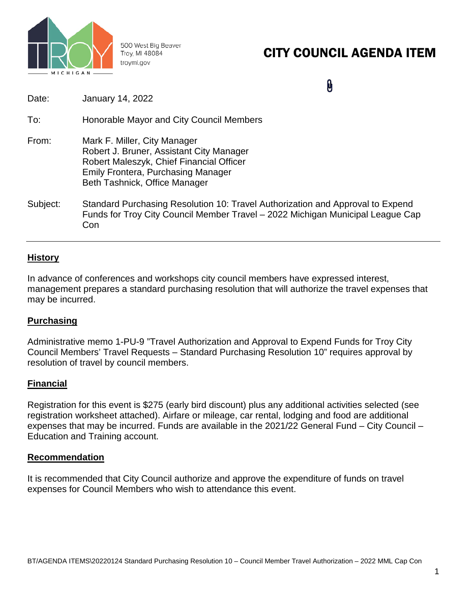

500 West Big Beaver Troy, MI 48084 troymi.gov

# CITY COUNCIL AGENDA ITEM

0

Date: January 14, 2022 To: Honorable Mayor and City Council Members From: Mark F. Miller, City Manager Robert J. Bruner, Assistant City Manager Robert Maleszyk, Chief Financial Officer Emily Frontera, Purchasing Manager Beth Tashnick, Office Manager Subject: Standard Purchasing Resolution 10: Travel Authorization and Approval to Expend Funds for Troy City Council Member Travel – 2022 Michigan Municipal League Cap Con

# **History**

In advance of conferences and workshops city council members have expressed interest, management prepares a standard purchasing resolution that will authorize the travel expenses that may be incurred.

# **Purchasing**

Administrative memo 1-PU-9 "Travel Authorization and Approval to Expend Funds for Troy City Council Members' Travel Requests – Standard Purchasing Resolution 10" requires approval by resolution of travel by council members.

# **Financial**

Registration for this event is \$275 (early bird discount) plus any additional activities selected (see registration worksheet attached). Airfare or mileage, car rental, lodging and food are additional expenses that may be incurred. Funds are available in the 2021/22 General Fund – City Council – Education and Training account.

## **Recommendation**

It is recommended that City Council authorize and approve the expenditure of funds on travel expenses for Council Members who wish to attendance this event.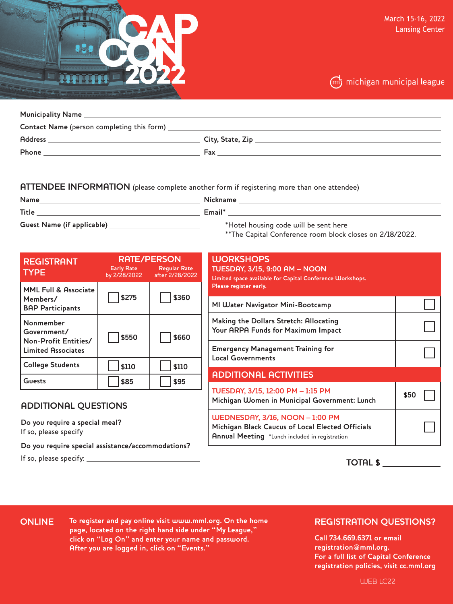



| <b>Address</b> |     |
|----------------|-----|
| <b>Phone</b>   | Fax |

#### **ATTENDEE INFORMATION** (please complete another form if registering more than one attendee)

**Name Nickname** 

**Title Email\* Guest Name (if applicable)** 

\*Hotel housing code will be sent here

\*\*The Capital Conference room block closes on 2/18/2022.

| <b>REGISTRANT</b><br><b>TYPE</b>                                              | <b>RATE/PERSON</b><br><b>Early Rate</b><br>by 2/28/2022 | <b>Regular Rate</b><br>after 2/28/2022 |
|-------------------------------------------------------------------------------|---------------------------------------------------------|----------------------------------------|
| <b>MML Full &amp; Associate</b><br>Members/<br><b>BAP Participants</b>        | \$275                                                   | \$360                                  |
| Nonmember<br>Government/<br>Non-Profit Entities/<br><b>Limited Associates</b> | \$550                                                   | \$660                                  |
| <b>College Students</b>                                                       | \$110                                                   | \$110                                  |
| Guests                                                                        | \$85                                                    | \$95                                   |

# **ADDITIONAL QUESTIONS**

**Do you require a special meal?** If so, please specify

**Do you require special assistance/accommodations?**

If so, please specify:

| <b>WORKSHOPS</b><br><b>TUESDAY, 3/15, 9:00 AM - NOON</b><br>Limited space available for Capital Conference Workshops.<br>Please register early. |      |
|-------------------------------------------------------------------------------------------------------------------------------------------------|------|
| MI Water Navigator Mini-Bootcamp                                                                                                                |      |
| Making the Dollars Stretch: Allocating<br>Your ARPA Funds for Maximum Impact                                                                    |      |
| <b>Emergency Management Training for</b><br><b>Local Governments</b>                                                                            |      |
| <b>ADDITIONAL ACTIVITIES</b>                                                                                                                    |      |
| TUESDAY, 3/15, 12:00 PM - 1:15 PM<br>Michigan Women in Municipal Government: Lunch                                                              | \$50 |
| <b>WEDNESDAY, 3/16, NOON - 1:00 PM</b><br>Michigan Black Caucus of Local Elected Officials<br>Annual Meeting *Lunch included in registration    |      |

**TOTAL \$**

#### **ONLINE**

**To register and pay online visit www.mml.org. On the home page, located on the right hand side under "My League," click on "Log On" and enter your name and password. After you are logged in, click on "Events."**

## **REGISTRATION QUESTIONS?**

**Call 734.669.6371 or email registration@mml.org. For a full list of Capital Conference registration policies, visit cc.mml.org** 

WEB LC22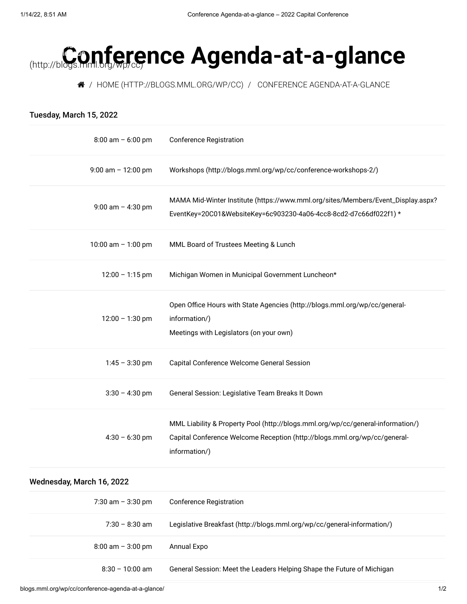# **[Confere](http://blogs.mml.org/wp/cc)nce Agenda-at-a-glance** (http://blogs.mml.org/wp/cc)

/ [HOME \(HTTP://BLOGS.MML.ORG/WP/CC\)](http://blogs.mml.org/wp/cc) / CONFERENCE AGENDA-AT-A-GLANCE

| Tuesday, March 15, 2022   |                                                                                                                                                                               |
|---------------------------|-------------------------------------------------------------------------------------------------------------------------------------------------------------------------------|
| $8:00$ am $-6:00$ pm      | <b>Conference Registration</b>                                                                                                                                                |
| $9:00$ am $-12:00$ pm     | Workshops (http://blogs.mml.org/wp/cc/conference-workshops-2/)                                                                                                                |
| $9:00$ am $-$ 4:30 pm     | MAMA Mid-Winter Institute (https://www.mml.org/sites/Members/Event_Display.aspx?<br>EventKey=20C01&WebsiteKey=6c903230-4a06-4cc8-8cd2-d7c66df022f1) *                         |
| 10:00 am $-$ 1:00 pm      | MML Board of Trustees Meeting & Lunch                                                                                                                                         |
| $12:00 - 1:15$ pm         | Michigan Women in Municipal Government Luncheon*                                                                                                                              |
| $12:00 - 1:30$ pm         | Open Office Hours with State Agencies (http://blogs.mml.org/wp/cc/general-<br>information/)<br>Meetings with Legislators (on your own)                                        |
| $1:45 - 3:30$ pm          | Capital Conference Welcome General Session                                                                                                                                    |
| $3:30 - 4:30$ pm          | General Session: Legislative Team Breaks It Down                                                                                                                              |
| $4:30 - 6:30$ pm          | MML Liability & Property Pool (http://blogs.mml.org/wp/cc/general-information/)<br>Capital Conference Welcome Reception (http://blogs.mml.org/wp/cc/general-<br>information/) |
| Wednesday, March 16, 2022 |                                                                                                                                                                               |
| 7:30 am $-$ 3:30 pm       | <b>Conference Registration</b>                                                                                                                                                |
| $7:30 - 8:30$ am          | Legislative Breakfast (http://blogs.mml.org/wp/cc/general-information/)                                                                                                       |
| $8:00$ am $-3:00$ pm      | Annual Expo                                                                                                                                                                   |
| $8:30 - 10:00$ am         | General Session: Meet the Leaders Helping Shape the Future of Michigan                                                                                                        |